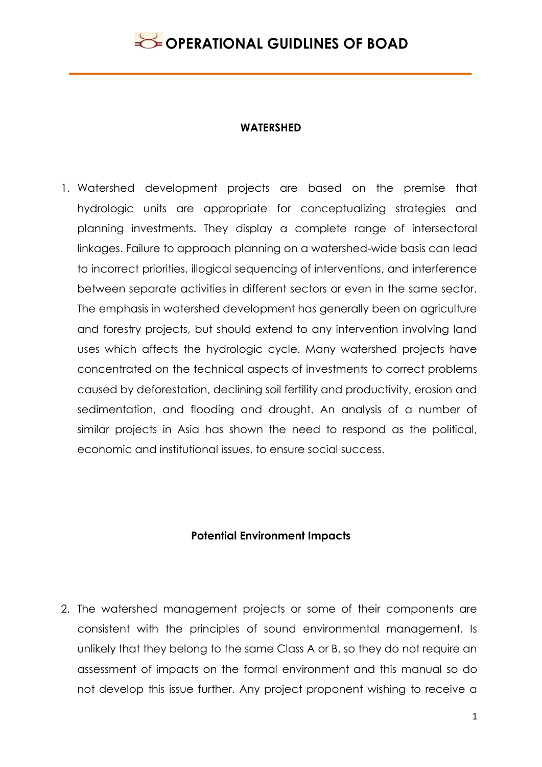## **WATERSHED**

1. Watershed development projects are based on the premise that hydrologic units are appropriate for conceptualizing strategies and planning investments. They display a complete range of intersectoral linkages. Failure to approach planning on a watershed-wide basis can lead to incorrect priorities, illogical sequencing of interventions, and interference between separate activities in different sectors or even in the same sector. The emphasis in watershed development has generally been on agriculture and forestry projects, but should extend to any intervention involving land uses which affects the hydrologic cycle. Many watershed projects have concentrated on the technical aspects of investments to correct problems caused by deforestation, declining soil fertility and productivity, erosion and sedimentation, and flooding and drought. An analysis of a number of similar projects in Asia has shown the need to respond as the political, economic and institutional issues, to ensure social success.

## **Potential Environment Impacts**

2. The watershed management projects or some of their components are consistent with the principles of sound environmental management. Is unlikely that they belong to the same Class A or B, so they do not require an assessment of impacts on the formal environment and this manual so do not develop this issue further. Any project proponent wishing to receive a